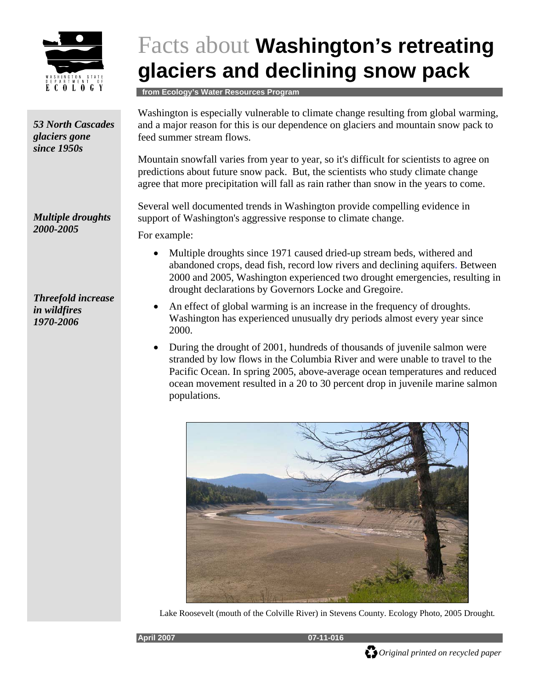

## Facts about **Washington's retreating glaciers and declining snow pack**

 **from Ecology's Water Resources Program** 

feed summer stream flows. Mountain snowfall varies from year to year, so it's difficult for scientists to agree on support of Washington's aggressive response to climate change. For example: *53 North Cascades glaciers gone since 1950s Multiple droughts 2000-2005* 

*Threefold increase in wildfires 1970-2006* 

Washington is especially vulnerable to climate change resulting from global warming, and a major reason for this is our dependence on glaciers and mountain snow pack to

predictions about future snow pack. But, the scientists who study climate change agree that more precipitation will fall as rain rather than snow in the years to come.

Several well documented trends in Washington provide compelling evidence in

- Multiple droughts since 1971 caused dried-up stream beds, withered and abandoned crops, dead fish, record low rivers and declining aquifers. Between 2000 and 2005, Washington experienced two drought emergencies, resulting in drought declarations by Governors Locke and Gregoire.
- An effect of global warming is an increase in the frequency of droughts. Washington has experienced unusually dry periods almost every year since 2000.
- During the drought of 2001, hundreds of thousands of juvenile salmon were stranded by low flows in the Columbia River and were unable to travel to the Pacific Ocean. In spring 2005, above-average ocean temperatures and reduced ocean movement resulted in a 20 to 30 percent drop in juvenile marine salmon populations.



Lake Roosevelt (mouth of the Colville River) in Stevens County. Ecology Photo, 2005 Drought*.*

*Original printed on recycled paper* 

**April 2007 07-11-016**